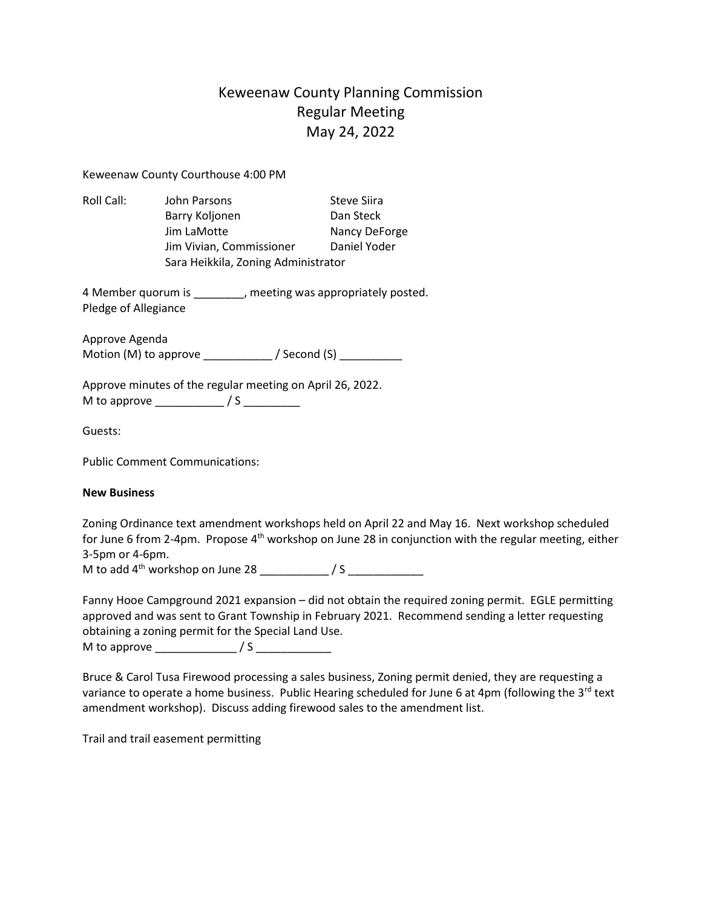## Keweenaw County Planning Commission Regular Meeting May 24, 2022

Keweenaw County Courthouse 4:00 PM

| Roll Call: | John Parsons                        | <b>Steve Siira</b> |
|------------|-------------------------------------|--------------------|
|            | Barry Koljonen                      | Dan Steck          |
|            | Jim LaMotte                         | Nancy DeForge      |
|            | Jim Vivian, Commissioner            | Daniel Yoder       |
|            | Sara Heikkila, Zoning Administrator |                    |

4 Member quorum is \_\_\_\_\_\_\_\_, meeting was appropriately posted. Pledge of Allegiance

Approve Agenda Motion (M) to approve \_\_\_\_\_\_\_\_\_\_\_ / Second (S) \_\_\_\_\_\_\_\_\_\_

Approve minutes of the regular meeting on April 26, 2022. M to approve \_\_\_\_\_\_\_\_\_\_\_ / S \_\_\_\_\_\_\_\_\_

Guests:

Public Comment Communications:

## **New Business**

Zoning Ordinance text amendment workshops held on April 22 and May 16. Next workshop scheduled for June 6 from 2-4pm. Propose 4<sup>th</sup> workshop on June 28 in conjunction with the regular meeting, either 3-5pm or 4-6pm.

M to add  $4<sup>th</sup>$  workshop on June 28  $\frac{1}{2}$  / S

Fanny Hooe Campground 2021 expansion – did not obtain the required zoning permit. EGLE permitting approved and was sent to Grant Township in February 2021. Recommend sending a letter requesting obtaining a zoning permit for the Special Land Use.

M to approve \_\_\_\_\_\_\_\_\_\_\_\_\_ / S \_\_\_\_\_\_\_\_\_\_\_\_

Bruce & Carol Tusa Firewood processing a sales business, Zoning permit denied, they are requesting a variance to operate a home business. Public Hearing scheduled for June 6 at 4pm (following the  $3^{rd}$  text amendment workshop). Discuss adding firewood sales to the amendment list.

Trail and trail easement permitting